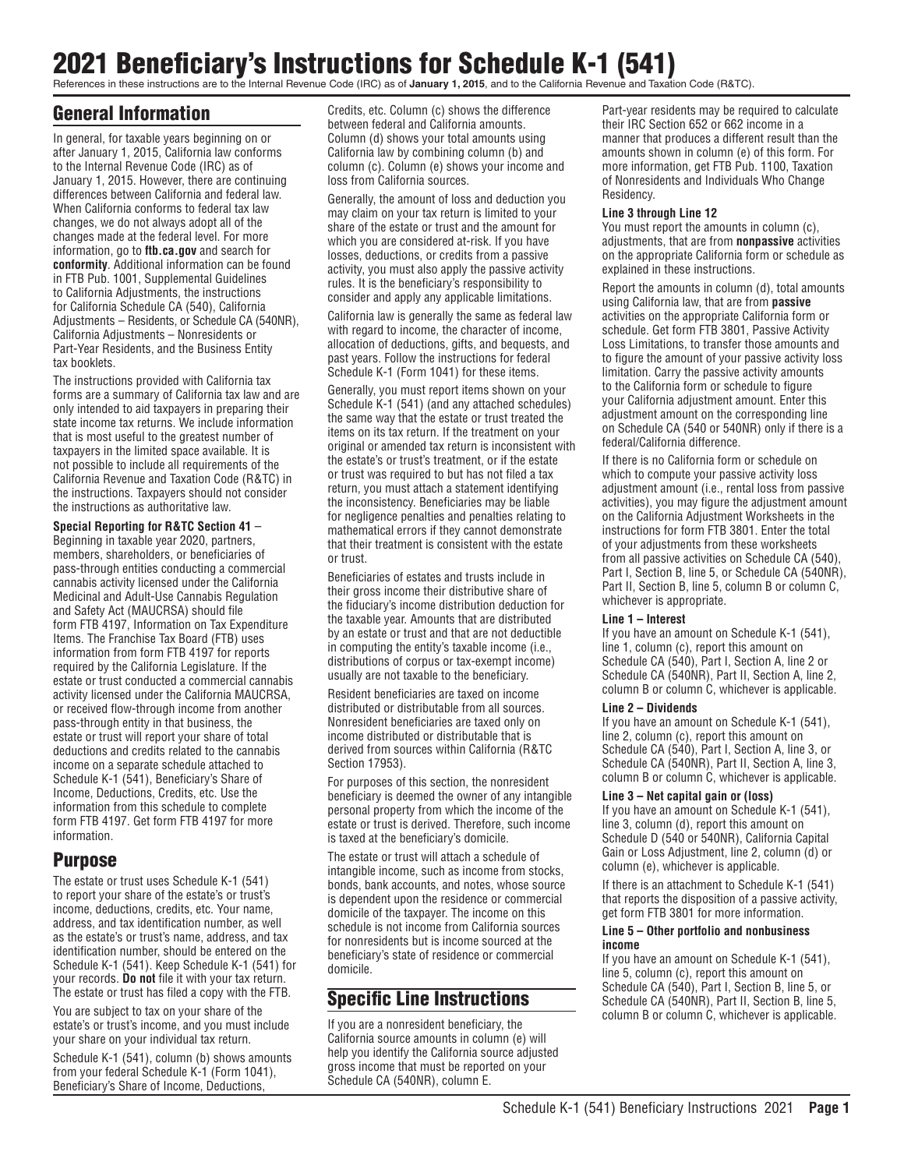# 2021 Beneficiary's Instructions for Schedule K-1 (541)

References in these instructions are to the Internal Revenue Code (IRC) as of **January 1, 2015**, and to the California Revenue and Taxation Code (R&TC).

# General Information

In general, for taxable years beginning on or after January 1, 2015, California law conforms to the Internal Revenue Code (IRC) as of January 1, 2015. However, there are continuing differences between California and federal law. When California conforms to federal tax law changes, we do not always adopt all of the changes made at the federal level. For more information, go to **ftb.ca.gov** and search for **conformity**. Additional information can be found in FTB Pub. 1001, Supplemental Guidelines to California Adjustments, the instructions for California Schedule CA (540), California Adjustments – Residents, or Schedule CA (540NR), California Adjustments – Nonresidents or Part-Year Residents, and the Business Entity tax booklets.

The instructions provided with California tax forms are a summary of California tax law and are only intended to aid taxpayers in preparing their state income tax returns. We include information that is most useful to the greatest number of taxpayers in the limited space available. It is not possible to include all requirements of the California Revenue and Taxation Code (R&TC) in the instructions. Taxpayers should not consider the instructions as authoritative law.

#### **Special Reporting for R&TC Section 41** – Beginning in taxable year 2020, partners,

members, shareholders, or beneficiaries of pass-through entities conducting a commercial cannabis activity licensed under the California Medicinal and Adult-Use Cannabis Regulation and Safety Act (MAUCRSA) should file form FTB 4197, Information on Tax Expenditure Items. The Franchise Tax Board (FTB) uses information from form FTB 4197 for reports required by the California Legislature. If the estate or trust conducted a commercial cannabis activity licensed under the California MAUCRSA, or received flow-through income from another pass-through entity in that business, the estate or trust will report your share of total deductions and credits related to the cannabis income on a separate schedule attached to Schedule K-1 (541), Beneficiary's Share of Income, Deductions, Credits, etc. Use the information from this schedule to complete form FTB 4197. Get form FTB 4197 for more information.

# Purpose

The estate or trust uses Schedule K-1 (541) to report your share of the estate's or trust's income, deductions, credits, etc. Your name, address, and tax identification number, as well as the estate's or trust's name, address, and tax identification number, should be entered on the Schedule K-1 (541). Keep Schedule K-1 (541) for your records. **Do not** file it with your tax return. The estate or trust has filed a copy with the FTB.

You are subject to tax on your share of the estate's or trust's income, and you must include your share on your individual tax return.

Schedule K-1 (541), column (b) shows amounts from your federal Schedule K-1 (Form 1041), Beneficiary's Share of Income, Deductions,

Credits, etc. Column (c) shows the difference between federal and California amounts. Column (d) shows your total amounts using California law by combining column (b) and column (c). Column (e) shows your income and loss from California sources.

Generally, the amount of loss and deduction you may claim on your tax return is limited to your share of the estate or trust and the amount for which you are considered at-risk. If you have losses, deductions, or credits from a passive activity, you must also apply the passive activity rules. It is the beneficiary's responsibility to consider and apply any applicable limitations.

California law is generally the same as federal law with regard to income, the character of income, allocation of deductions, gifts, and bequests, and past years. Follow the instructions for federal Schedule K-1 (Form 1041) for these items.

Generally, you must report items shown on your Schedule K-1 (541) (and any attached schedules) the same way that the estate or trust treated the items on its tax return. If the treatment on your original or amended tax return is inconsistent with the estate's or trust's treatment, or if the estate or trust was required to but has not filed a tax return, you must attach a statement identifying the inconsistency. Beneficiaries may be liable for negligence penalties and penalties relating to mathematical errors if they cannot demonstrate that their treatment is consistent with the estate or trust.

Beneficiaries of estates and trusts include in their gross income their distributive share of the fiduciary's income distribution deduction for the taxable year. Amounts that are distributed by an estate or trust and that are not deductible in computing the entity's taxable income (i.e., distributions of corpus or tax-exempt income) usually are not taxable to the beneficiary.

Resident beneficiaries are taxed on income distributed or distributable from all sources. Nonresident beneficiaries are taxed only on income distributed or distributable that is derived from sources within California (R&TC Section 17953).

For purposes of this section, the nonresident beneficiary is deemed the owner of any intangible personal property from which the income of the estate or trust is derived. Therefore, such income is taxed at the beneficiary's domicile.

The estate or trust will attach a schedule of intangible income, such as income from stocks, bonds, bank accounts, and notes, whose source is dependent upon the residence or commercial domicile of the taxpayer. The income on this schedule is not income from California sources for nonresidents but is income sourced at the beneficiary's state of residence or commercial domicile.

# Specific Line Instructions

If you are a nonresident beneficiary, the California source amounts in column (e) will help you identify the California source adjusted gross income that must be reported on your Schedule CA (540NR), column E.

Part-year residents may be required to calculate their IRC Section 652 or 662 income in a manner that produces a different result than the amounts shown in column (e) of this form. For more information, get FTB Pub. 1100, Taxation of Nonresidents and Individuals Who Change Residency.

#### **Line 3 through Line 12**

You must report the amounts in column (c), adjustments, that are from **nonpassive** activities on the appropriate California form or schedule as explained in these instructions.

Report the amounts in column (d), total amounts using California law, that are from **passive**  activities on the appropriate California form or schedule. Get form FTB 3801, Passive Activity Loss Limitations, to transfer those amounts and to figure the amount of your passive activity loss limitation. Carry the passive activity amounts to the California form or schedule to figure your California adjustment amount. Enter this adjustment amount on the corresponding line on Schedule CA (540 or 540NR) only if there is a federal/California difference.

If there is no California form or schedule on which to compute your passive activity loss adjustment amount (i.e., rental loss from passive activities), you may figure the adjustment amount on the California Adjustment Worksheets in the instructions for form FTB 3801. Enter the total of your adjustments from these worksheets from all passive activities on Schedule CA (540), Part I, Section B, line 5, or Schedule CA (540NR), Part II, Section B, line 5, column B or column C, whichever is appropriate.

#### **Line 1 – Interest**

If you have an amount on Schedule K-1 (541), line 1, column (c), report this amount on Schedule CA (540), Part I, Section A, line 2 or Schedule CA (540NR), Part II, Section A, line 2, column B or column C, whichever is applicable.

#### **Line 2 – Dividends**

If you have an amount on Schedule K-1 (541), line 2, column (c), report this amount on Schedule CA (540), Part I, Section A, line 3, or Schedule CA (540NR), Part II, Section A, line 3, column B or column C, whichever is applicable.

#### **Line 3 – Net capital gain or (loss)**

If you have an amount on Schedule K-1 (541), line 3, column (d), report this amount on Schedule D (540 or 540NR), California Capital Gain or Loss Adjustment, line 2, column (d) or column (e), whichever is applicable.

If there is an attachment to Schedule K-1 (541) that reports the disposition of a passive activity, get form FTB 3801 for more information.

#### **Line 5 – Other portfolio and nonbusiness income**

If you have an amount on Schedule K-1 (541), line 5, column (c), report this amount on Schedule CA (540), Part I, Section B, line 5, or Schedule CA (540NR), Part II, Section B, line 5, column B or column C, whichever is applicable.